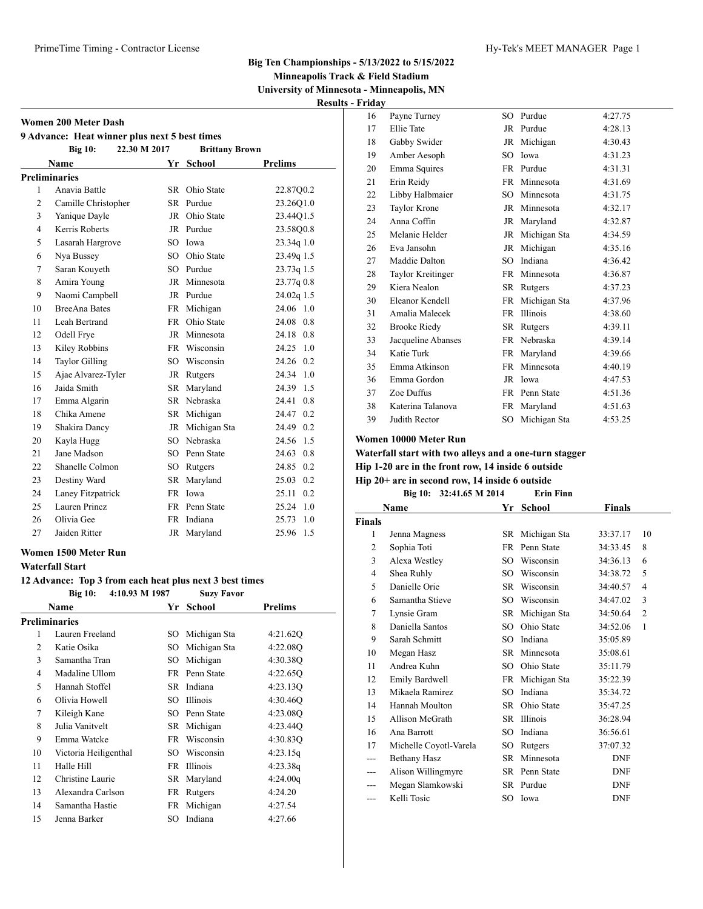**Minneapolis Track & Field Stadium University of Minnesota - Minneapolis, MN**

**Results - Friday**

| Women 200 Meter Dash |                                               |     |                       |                |  |  |  |
|----------------------|-----------------------------------------------|-----|-----------------------|----------------|--|--|--|
|                      | 9 Advance: Heat winner plus next 5 best times |     |                       |                |  |  |  |
|                      | 22.30 M 2017<br><b>Big 10:</b>                |     | <b>Brittany Brown</b> |                |  |  |  |
|                      | <b>Name</b>                                   | Yr  | <b>School</b>         | <b>Prelims</b> |  |  |  |
|                      | <b>Preliminaries</b>                          |     |                       |                |  |  |  |
| 1                    | Anavia Battle                                 | SR  | Ohio State            | 22.87Q0.2      |  |  |  |
| $\overline{c}$       | Camille Christopher                           | SR. | Purdue                | 23.26Q1.0      |  |  |  |
| 3                    | Yanique Dayle                                 | JR  | Ohio State            | 23.44Q1.5      |  |  |  |
| $\overline{4}$       | Kerris Roberts                                |     | JR Purdue             | 23.58Q0.8      |  |  |  |
| 5                    | Lasarah Hargrove                              |     | SO Iowa               | 23.34q 1.0     |  |  |  |
| 6                    | Nya Bussey                                    | SO. | Ohio State            | 23.49q 1.5     |  |  |  |
| 7                    | Saran Kouyeth                                 |     | SO Purdue             | $23.73q$ 1.5   |  |  |  |
| 8                    | Amira Young                                   |     | JR Minnesota          | 23.77q 0.8     |  |  |  |
| 9                    | Naomi Campbell                                |     | JR Purdue             | 24.02q 1.5     |  |  |  |
| 10                   | <b>BreeAna Bates</b>                          |     | FR Michigan           | 24.06 1.0      |  |  |  |
| 11                   | Leah Bertrand                                 |     | FR Ohio State         | 24.08 0.8      |  |  |  |
| 12                   | Odell Frye                                    |     | JR Minnesota          | 24.18 0.8      |  |  |  |
| 13                   | <b>Kiley Robbins</b>                          |     | FR Wisconsin          | 24.25 1.0      |  |  |  |
| 14                   | <b>Taylor Gilling</b>                         | SO. | Wisconsin             | 24.26 0.2      |  |  |  |
| 15                   | Ajae Alvarez-Tyler                            |     | JR Rutgers            | 24.34 1.0      |  |  |  |
| 16                   | Jaida Smith                                   |     | SR Maryland           | 24.39 1.5      |  |  |  |
| 17                   | Emma Algarin                                  |     | SR Nebraska           | 24.41<br>0.8   |  |  |  |
| 18                   | Chika Amene                                   |     | SR Michigan           | 24.47<br>0.2   |  |  |  |
| 19                   | Shakira Dancy                                 |     | JR Michigan Sta       | 24.49 0.2      |  |  |  |
| 20                   | Kayla Hugg                                    |     | SO Nebraska           | 24.56 1.5      |  |  |  |
| 21                   | Jane Madson                                   |     | SO Penn State         | 24.63 0.8      |  |  |  |
| 22                   | Shanelle Colmon                               |     | SO Rutgers            | 24.85 0.2      |  |  |  |
| 23                   | Destiny Ward                                  | SR  | Maryland              | 25.03<br>0.2   |  |  |  |
| 24                   | Laney Fitzpatrick                             |     | FR Iowa               | 25.11<br>0.2   |  |  |  |
| 25                   | Lauren Princz                                 |     | FR Penn State         | 25.24 1.0      |  |  |  |
| 26                   | Olivia Gee                                    | FR. | Indiana               | 25.73<br>1.0   |  |  |  |
| 27                   | Jaiden Ritter                                 | JR  | Maryland              | 25.96<br>1.5   |  |  |  |

# **Women 1500 Meter Run**

**Waterfall Start**

# **12 Advance: Top 3 from each heat plus next 3 best times**

|    | <b>Big 10:</b>        | 4:10.93 M 1987 |     | <b>Suzy Favor</b> |          |
|----|-----------------------|----------------|-----|-------------------|----------|
|    | Name                  |                | Yr  | School            | Prelims  |
|    | Preliminaries         |                |     |                   |          |
| 1  | Lauren Freeland       |                | SO. | Michigan Sta      | 4:21.62Q |
| 2  | Katie Osika           |                | SO. | Michigan Sta      | 4:22.08Q |
| 3  | Samantha Tran         |                | SO  | Michigan          | 4:30.38Q |
| 4  | Madaline Ullom        |                |     | FR Penn State     | 4:22.65Q |
| 5  | Hannah Stoffel        |                |     | SR Indiana        | 4:23.13Q |
| 6  | Olivia Howell         |                | SO. | Illinois          | 4:30.46O |
| 7  | Kileigh Kane          |                | SO. | Penn State        | 4:23.08Q |
| 8  | Julia Vanitvelt       |                | SR  | Michigan          | 4:23.44Q |
| 9  | Emma Watcke           |                | FR  | Wisconsin         | 4:30.83Q |
| 10 | Victoria Heiligenthal |                | SO  | Wisconsin         | 4:23.15q |
| 11 | Halle Hill            |                | FR  | Illinois          | 4:23.38q |
| 12 | Christine Laurie      |                |     | SR Maryland       | 4:24.00q |
| 13 | Alexandra Carlson     |                | FR  | Rutgers           | 4:24.20  |
| 14 | Samantha Hastie       |                |     | FR Michigan       | 4:27.54  |
| 15 | Jenna Barker          |                | SO. | Indiana           | 4:27.66  |

| 16 | Payne Turney        | SO.       | Purdue        | 4:27.75 |
|----|---------------------|-----------|---------------|---------|
| 17 | Ellie Tate          | JR        | Purdue        | 4:28.13 |
| 18 | Gabby Swider        | <b>JR</b> | Michigan      | 4:30.43 |
| 19 | Amber Aesoph        | <b>SO</b> | Iowa          | 4:31.23 |
| 20 | Emma Squires        | FR        | Purdue        | 4:31.31 |
| 21 | Erin Reidy          | FR        | Minnesota     | 4:31.69 |
| 22 | Libby Halbmaier     | SO.       | Minnesota     | 4:31.75 |
| 23 | Taylor Krone        | JR        | Minnesota     | 4:32.17 |
| 24 | Anna Coffin         | JR.       | Maryland      | 4:32.87 |
| 25 | Melanie Helder      | <b>JR</b> | Michigan Sta  | 4:34.59 |
| 26 | Eva Jansohn         | <b>JR</b> | Michigan      | 4:35.16 |
| 27 | Maddie Dalton       | SO        | Indiana       | 4:36.42 |
| 28 | Taylor Kreitinger   | FR        | Minnesota     | 4:36.87 |
| 29 | Kiera Nealon        | SR.       | Rutgers       | 4:37.23 |
| 30 | Eleanor Kendell     | <b>FR</b> | Michigan Sta  | 4:37.96 |
| 31 | Amalia Malecek      | <b>FR</b> | Illinois      | 4:38.60 |
| 32 | <b>Brooke Riedy</b> | SR        | Rutgers       | 4:39.11 |
| 33 | Jacqueline Abanses  | FR        | Nebraska      | 4:39.14 |
| 34 | Katie Turk          | <b>FR</b> | Maryland      | 4:39.66 |
| 35 | Emma Atkinson       | FR        | Minnesota     | 4:40.19 |
| 36 | Emma Gordon         | JR        | Iowa          | 4:47.53 |
| 37 | Zoe Duffus          |           | FR Penn State | 4:51.36 |
| 38 | Katerina Talanova   | FR        | Maryland      | 4:51.63 |
| 39 | Judith Rector       | SO        | Michigan Sta  | 4:53.25 |
|    |                     |           |               |         |

# **Women 10000 Meter Run**

**Waterfall start with two alleys and a one-turn stagger**

**Hip 1-20 are in the front row, 14 inside 6 outside**

**Hip 20+ are in second row, 14 inside 6 outside Big 10: 32:41.65 M 2014 Erin Finn**

|                | Name                   | Yr        | <b>School</b>   | <b>Finals</b> |                |
|----------------|------------------------|-----------|-----------------|---------------|----------------|
| <b>Finals</b>  |                        |           |                 |               |                |
| 1              | Jenna Magness          | SR        | Michigan Sta    | 33:37.17      | 10             |
| $\overline{c}$ | Sophia Toti            | <b>FR</b> | Penn State      | 34:33.45      | 8              |
| 3              | Alexa Westley          | SO.       | Wisconsin       | 34:36.13      | 6              |
| 4              | Shea Ruhly             | SO.       | Wisconsin       | 34:38.72      | 5              |
| 5              | Danielle Orie          | SR.       | Wisconsin       | 34:40.57      | 4              |
| 6              | Samantha Stieve        | SO.       | Wisconsin       | 34:47.02      | 3              |
| 7              | Lynsie Gram            | SR        | Michigan Sta    | 34:50.64      | $\overline{2}$ |
| 8              | Daniella Santos        | SO.       | Ohio State      | 34:52.06      | 1              |
| 9              | Sarah Schmitt          | SO.       | Indiana         | 35:05.89      |                |
| 10             | Megan Hasz             | SR        | Minnesota       | 35:08.61      |                |
| 11             | Andrea Kuhn            | SO        | Ohio State      | 35:11.79      |                |
| 12             | Emily Bardwell         | FR        | Michigan Sta    | 35:22.39      |                |
| 13             | Mikaela Ramirez        | SO        | Indiana         | 35:34.72      |                |
| 14             | Hannah Moulton         | SR.       | Ohio State      | 35:47.25      |                |
| 15             | Allison McGrath        | SR.       | <b>Illinois</b> | 36:28.94      |                |
| 16             | Ana Barrott            | SO        | Indiana         | 36:56.61      |                |
| 17             | Michelle Coyotl-Varela | SО        | Rutgers         | 37:07.32      |                |
| ---            | <b>Bethany Hasz</b>    | SR        | Minnesota       | <b>DNF</b>    |                |
|                | Alison Willingmyre     | SR        | Penn State      | <b>DNF</b>    |                |
|                | Megan Slamkowski       |           | SR Purdue       | <b>DNF</b>    |                |
| ---            | Kelli Tosic            | SO        | Iowa            | <b>DNF</b>    |                |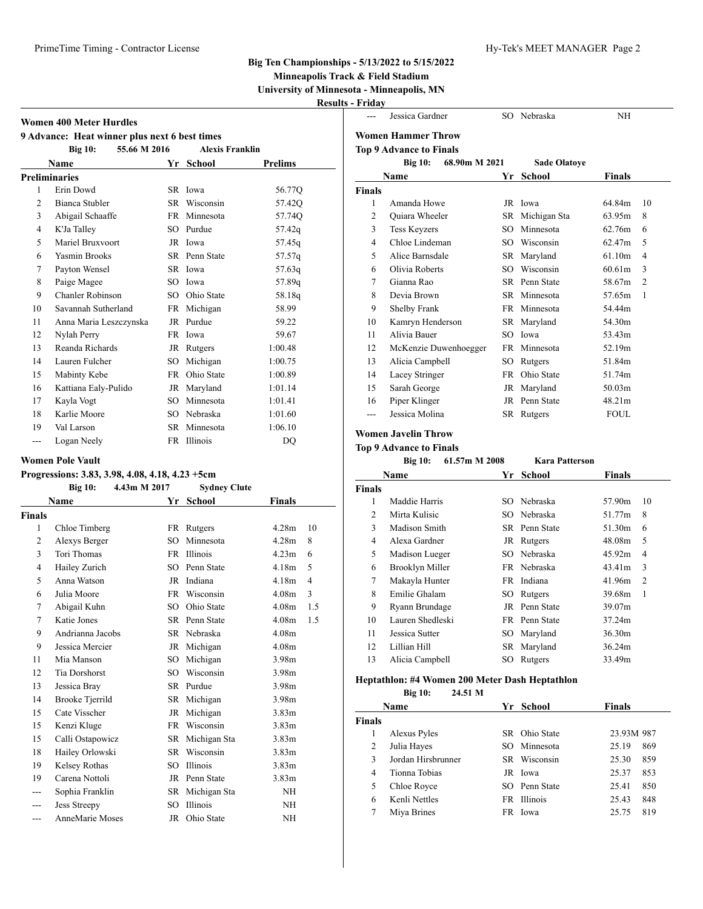**Minneapolis Track & Field Stadium University of Minnesota - Minneapolis, MN**

**Results - Friday**

| іхсэццэ - Гі іца |  |  |
|------------------|--|--|
|                  |  |  |

| <b>Women 400 Meter Hurdles</b> |                                               |     |                        |                |  |  |
|--------------------------------|-----------------------------------------------|-----|------------------------|----------------|--|--|
|                                | 9 Advance: Heat winner plus next 6 best times |     |                        |                |  |  |
|                                | 55.66 M 2016<br><b>Big 10:</b>                |     | <b>Alexis Franklin</b> |                |  |  |
|                                | Name                                          |     | Yr School              | <b>Prelims</b> |  |  |
|                                | <b>Preliminaries</b>                          |     |                        |                |  |  |
| 1                              | Erin Dowd                                     |     | SR Iowa                | 56.77Q         |  |  |
| $\overline{c}$                 | Bianca Stubler                                |     | SR Wisconsin           | 57.42Q         |  |  |
| 3                              | Abigail Schaaffe                              |     | FR Minnesota           | 57.74Q         |  |  |
| 4                              | K'Ja Talley                                   |     | SO Purdue              | 57.42q         |  |  |
| 5                              | Mariel Bruxvoort                              |     | JR Iowa                | 57.45q         |  |  |
| 6                              | Yasmin Brooks                                 |     | SR Penn State          | 57.57q         |  |  |
| 7                              | Payton Wensel                                 |     | SR Iowa                | 57.63q         |  |  |
| 8                              | Paige Magee                                   |     | SO Iowa                | 57.89q         |  |  |
| 9                              | Chanler Robinson                              |     | SO Ohio State          | 58.18q         |  |  |
| 10                             | Savannah Sutherland                           |     | FR Michigan            | 58.99          |  |  |
| 11                             | Anna Maria Leszczynska                        |     | JR Purdue              | 59.22          |  |  |
| 12                             | Nylah Perry                                   |     | FR Iowa                | 59.67          |  |  |
| 13                             | Reanda Richards                               | JR  | Rutgers                | 1:00.48        |  |  |
| 14                             | Lauren Fulcher                                | SO  | Michigan               | 1:00.75        |  |  |
| 15                             | Mabinty Kebe                                  | FR. | Ohio State             | 1:00.89        |  |  |
| 16                             | Kattiana Ealy-Pulido                          | JR  | Maryland               | 1:01.14        |  |  |
| 17                             | Kayla Vogt                                    | SO. | Minnesota              | 1:01.41        |  |  |
| 18                             | Karlie Moore                                  | SO. | Nebraska               | 1:01.60        |  |  |
| 19                             | Val Larson                                    |     | SR Minnesota           | 1:06.10        |  |  |
| ---                            | Logan Neely                                   |     | FR Illinois            | DO             |  |  |

# **Women Pole Vault**

# **Progressions: 3.83, 3.98, 4.08, 4.18, 4.23 +5cm**

|                | <b>Big 10:</b>       | 4.43m M 2017 | <b>Sydney Clute</b> |                   |     |
|----------------|----------------------|--------------|---------------------|-------------------|-----|
|                | Name                 |              | Yr School           | Finals            |     |
| Finals         |                      |              |                     |                   |     |
| 1              | Chloe Timberg        | FR           | Rutgers             | 4.28 <sub>m</sub> | 10  |
| $\overline{2}$ | Alexys Berger        | SO.          | Minnesota           | 4.28 <sub>m</sub> | 8   |
| 3              | Tori Thomas          | FR.          | <b>Illinois</b>     | 4.23m             | 6   |
| 4              | Hailey Zurich        | SO.          | Penn State          | 4.18 <sub>m</sub> | 5   |
| 5              | Anna Watson          | JR           | Indiana             | 4.18 <sub>m</sub> | 4   |
| 6              | Julia Moore          | FR.          | Wisconsin           | 4.08 <sub>m</sub> | 3   |
| 7              | Abigail Kuhn         | SO.          | Ohio State          | 4.08 <sub>m</sub> | 1.5 |
| 7              | Katie Jones          |              | SR Penn State       | 4.08 <sub>m</sub> | 1.5 |
| 9              | Andrianna Jacobs     |              | SR Nebraska         | 4.08 <sub>m</sub> |     |
| 9              | Jessica Mercier      | JR           | Michigan            | 4.08 <sub>m</sub> |     |
| 11             | Mia Manson           | SO           | Michigan            | 3.98m             |     |
| 12             | <b>Tia Dorshorst</b> | SO.          | Wisconsin           | 3.98m             |     |
| 13             | Jessica Bray         | SR           | Purdue              | 3.98m             |     |
| 14             | Brooke Tjerrild      | SR           | Michigan            | 3.98m             |     |
| 15             | Cate Visscher        | JR           | Michigan            | 3.83 <sub>m</sub> |     |
| 15             | Kenzi Kluge          | FR           | Wisconsin           | 3.83 <sub>m</sub> |     |
| 15             | Calli Ostapowicz     | SR           | Michigan Sta        | 3.83 <sub>m</sub> |     |
| 18             | Hailey Orlowski      | SR           | Wisconsin           | 3.83 <sub>m</sub> |     |
| 19             | Kelsey Rothas        | SO.          | Illinois            | 3.83 <sub>m</sub> |     |
| 19             | Carena Nottoli       | JR           | Penn State          | 3.83 <sub>m</sub> |     |
| $---$          | Sophia Franklin      | SR           | Michigan Sta        | NH                |     |
|                | <b>Jess Streepy</b>  | SO           | <b>Illinois</b>     | NH                |     |
|                | AnneMarie Moses      |              | JR Ohio State       | NΗ                |     |

|                                                        | Jessica Gardner                                             |                 | SO Nebraska     | NH          |                |  |  |  |
|--------------------------------------------------------|-------------------------------------------------------------|-----------------|-----------------|-------------|----------------|--|--|--|
|                                                        | <b>Women Hammer Throw</b><br><b>Top 9 Advance to Finals</b> |                 |                 |             |                |  |  |  |
| 68.90m M 2021<br><b>Big 10:</b><br><b>Sade Olatoye</b> |                                                             |                 |                 |             |                |  |  |  |
|                                                        | Name                                                        | Yr              | <b>School</b>   | Finals      |                |  |  |  |
| <b>Finals</b>                                          |                                                             |                 |                 |             |                |  |  |  |
| 1                                                      | Amanda Howe                                                 |                 | JR Iowa         | 64.84m      | 10             |  |  |  |
| 2                                                      | Quiara Wheeler                                              |                 | SR Michigan Sta | 63.95m      | 8              |  |  |  |
| 3                                                      | <b>Tess Keyzers</b>                                         | SO.             | Minnesota       | 62.76m      | 6              |  |  |  |
| $\overline{4}$                                         | Chloe Lindeman                                              | SO.             | Wisconsin       | 62.47m      | 5              |  |  |  |
| 5                                                      | Alice Barnsdale                                             | SR              | Maryland        | 61.10m      | 4              |  |  |  |
| 6                                                      | Olivia Roberts                                              | SO.             | Wisconsin       | 60.61m      | 3              |  |  |  |
| 7                                                      | Gianna Rao                                                  |                 | SR Penn State   | 58.67m      | $\mathfrak{D}$ |  |  |  |
| 8                                                      | Devia Brown                                                 |                 | SR Minnesota    | 57.65m      | 1              |  |  |  |
| 9                                                      | Shelby Frank                                                | FR 1            | Minnesota       | 54.44m      |                |  |  |  |
| 10                                                     | Kamryn Henderson                                            |                 | SR Maryland     | 54.30m      |                |  |  |  |
| 11                                                     | Alivia Bauer                                                | SO <sub>2</sub> | Iowa            | 53.43m      |                |  |  |  |
| 12                                                     | McKenzie Duwenhoegger                                       | FR              | Minnesota       | 52.19m      |                |  |  |  |
| 13                                                     | Alicia Campbell                                             | SO              | Rutgers         | 51.84m      |                |  |  |  |
| 14                                                     | Lacey Stringer                                              | FR              | Ohio State      | 51.74m      |                |  |  |  |
| 15                                                     | Sarah George                                                | JR              | Maryland        | 50.03m      |                |  |  |  |
| 16                                                     | Piper Klinger                                               |                 | JR Penn State   | 48.21m      |                |  |  |  |
| ---                                                    | Jessica Molina                                              |                 | SR Rutgers      | <b>FOUL</b> |                |  |  |  |
|                                                        |                                                             |                 |                 |             |                |  |  |  |

### **Women Javelin Throw**

**Top 9 Advance to Finals**

|               | <b>Big 10:</b>   | 61.57m M 2008 |     | Kara Patterson |               |                |
|---------------|------------------|---------------|-----|----------------|---------------|----------------|
|               | Name             |               | Yr  | School         | <b>Finals</b> |                |
| <b>Finals</b> |                  |               |     |                |               |                |
| 1             | Maddie Harris    |               | SO. | Nebraska       | 57.90m        | 10             |
| 2             | Mirta Kulisic    |               |     | SO Nebraska    | 51.77m        | 8              |
| 3             | Madison Smith    |               |     | SR Penn State  | 51.30m        | 6              |
| 4             | Alexa Gardner    |               | JR  | Rutgers        | 48.08m        | 5              |
| 5             | Madison Lueger   |               |     | SO Nebraska    | 45.92m        | 4              |
| 6             | Brooklyn Miller  |               |     | FR Nebraska    | 43.41m        | 3              |
| 7             | Makayla Hunter   |               | FR  | Indiana        | 41.96m        | $\overline{c}$ |
| 8             | Emilie Ghalam    |               | SO. | Rutgers        | 39.68m        | 1              |
| 9             | Ryann Brundage   |               |     | JR Penn State  | 39.07m        |                |
| 10            | Lauren Shedleski |               |     | FR Penn State  | 37.24m        |                |
| 11            | Jessica Sutter   |               | SO. | Maryland       | 36.30m        |                |
| 12            | Lillian Hill     |               | SR  | Maryland       | 36.24m        |                |
| 13            | Alicia Campbell  |               | SО  | Rutgers        | 33.49m        |                |
|               |                  |               |     |                |               |                |

# **Heptathlon: #4 Women 200 Meter Dash Heptathlon**

**Big 10: 24.51 M**

| Name   |                    | Yr School |               | <b>Finals</b> |
|--------|--------------------|-----------|---------------|---------------|
| Finals |                    |           |               |               |
|        | Alexus Pyles       |           | SR Ohio State | 23.93M 987    |
| 2      | Julia Hayes        |           | SO Minnesota  | 869<br>25.19  |
| 3      | Jordan Hirsbrunner |           | SR Wisconsin  | 859<br>25.30  |
| 4      | Tionna Tobias      |           | JR Iowa       | 853<br>25.37  |
| 5      | Chloe Royce        |           | SO Penn State | 850<br>25.41  |
| 6      | Kenli Nettles      |           | FR Illinois   | 848<br>25.43  |
|        | Miya Brines        |           | FR Iowa       | 819<br>25.75  |
|        |                    |           |               |               |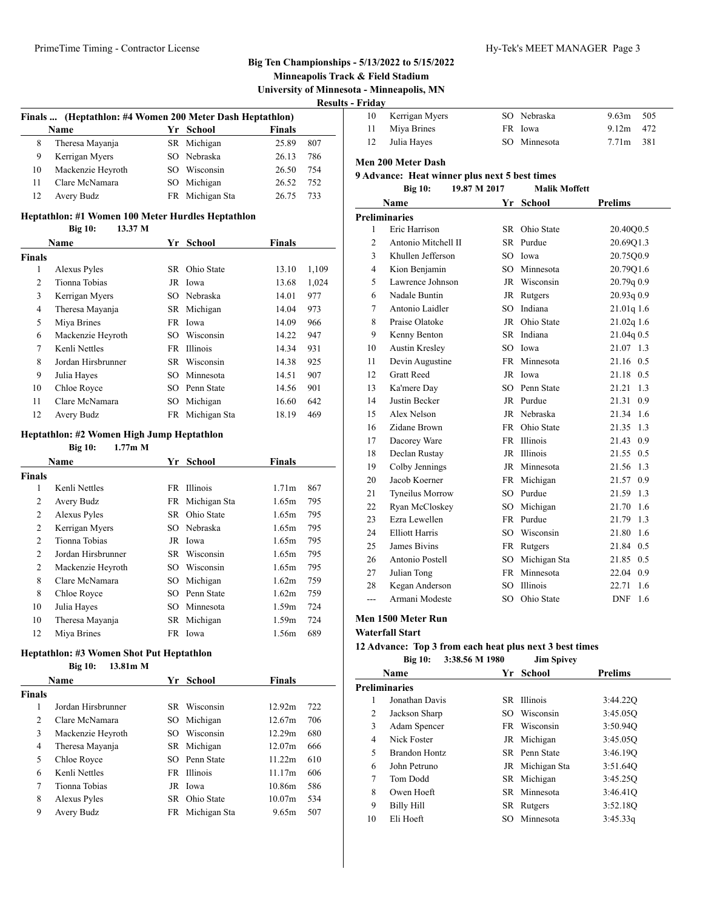**Minneapolis Track & Field Stadium**

**University of Minnesota - Minneapolis, MN**

**Results -**

| Finals  (Heptathlon: #4 Women 200 Meter Dash Heptathlon) |                   |  |                 |               |     |  |
|----------------------------------------------------------|-------------------|--|-----------------|---------------|-----|--|
|                                                          | <b>Name</b>       |  | Yr School       | <b>Finals</b> |     |  |
| 8                                                        | Theresa Mayanja   |  | SR Michigan     | 25.89         | 807 |  |
| 9                                                        | Kerrigan Myers    |  | SO Nebraska     | 26.13         | 786 |  |
| 10                                                       | Mackenzie Heyroth |  | SO Wisconsin    | 26.50         | 754 |  |
| 11                                                       | Clare McNamara    |  | SO Michigan     | 26.52         | 752 |  |
| 12                                                       | Avery Budz        |  | FR Michigan Sta | 26.75         | 733 |  |

# **Heptathlon: #1 Women 100 Meter Hurdles Heptathlon**<br>Big 10: 13.37 M

#### **Big 10: 13.37 M**

|        | <b>Name</b>        |     | Yr School       | <b>Finals</b> |       |
|--------|--------------------|-----|-----------------|---------------|-------|
| Finals |                    |     |                 |               |       |
| 1      | Alexus Pyles       | SR  | Ohio State      | 13.10         | 1,109 |
| 2      | Tionna Tobias      |     | JR Iowa         | 13.68         | 1,024 |
| 3      | Kerrigan Myers     |     | SO Nebraska     | 14.01         | 977   |
| 4      | Theresa Mayanja    |     | SR Michigan     | 14.04         | 973   |
| 5      | Miya Brines        |     | FR Iowa         | 14.09         | 966   |
| 6      | Mackenzie Heyroth  | SO. | Wisconsin       | 14.22         | 947   |
| 7      | Kenli Nettles      | FR  | <b>Illinois</b> | 14.34         | 931   |
| 8      | Jordan Hirsbrunner |     | SR Wisconsin    | 14.38         | 925   |
| 9      | Julia Hayes        | SO. | Minnesota       | 14.51         | 907   |
| 10     | Chloe Royce        | SO. | Penn State      | 14.56         | 901   |
| 11     | Clare McNamara     |     | SO Michigan     | 16.60         | 642   |
| 12     | Avery Budz         |     | FR Michigan Sta | 18.19         | 469   |

# **Heptathlon: #2 Women High Jump Heptathlon**

**Big 10: 1.77m M**

|                | <b>Name</b>        |      | Yr School       | <b>Finals</b>     |     |
|----------------|--------------------|------|-----------------|-------------------|-----|
| <b>Finals</b>  |                    |      |                 |                   |     |
| 1              | Kenli Nettles      | FR   | <b>Illinois</b> | 1.71 <sub>m</sub> | 867 |
| 2              | Avery Budz         | FR   | Michigan Sta    | 1.65m             | 795 |
| 2              | Alexus Pyles       | SR - | Ohio State      | 1.65m             | 795 |
| 2              | Kerrigan Myers     |      | SO Nebraska     | 1.65m             | 795 |
| $\overline{2}$ | Tionna Tobias      |      | JR Iowa         | 1.65m             | 795 |
| 2              | Jordan Hirsbrunner | SR   | Wisconsin       | 1.65m             | 795 |
| 2              | Mackenzie Heyroth  | SO.  | Wisconsin       | 1.65m             | 795 |
| 8              | Clare McNamara     | SO.  | Michigan        | 1.62m             | 759 |
| 8              | Chloe Royce        | SO.  | Penn State      | 1.62m             | 759 |
| 10             | Julia Hayes        | SO.  | Minnesota       | 1.59m             | 724 |
| 10             | Theresa Mayanja    | SR   | Michigan        | 1.59m             | 724 |
| 12             | Miya Brines        | FR   | Iowa            | 1.56m             | 689 |
|                |                    |      |                 |                   |     |

# **Heptathlon: #3 Women Shot Put Heptathlon**

|               | 13.81m M<br><b>Big 10:</b> |     |                 |                    |     |
|---------------|----------------------------|-----|-----------------|--------------------|-----|
|               | <b>Name</b>                | Yr. | School          | <b>Finals</b>      |     |
| <b>Finals</b> |                            |     |                 |                    |     |
| 1             | Jordan Hirsbrunner         | SR. | Wisconsin       | 12.92m             | 722 |
| 2             | Clare McNamara             | SO. | Michigan        | 12.67m             | 706 |
| 3             | Mackenzie Heyroth          | SO. | Wisconsin       | 12.29m             | 680 |
| 4             | Theresa Mayanja            |     | SR Michigan     | 12.07m             | 666 |
| 5             | Chloe Royce                |     | SO Penn State   | 11.22m             | 610 |
| 6             | Kenli Nettles              |     | FR Illinois     | 11.17m             | 606 |
| 7             | Tionna Tobias              |     | JR Iowa         | 10.86m             | 586 |
| 8             | Alexus Pyles               |     | SR Ohio State   | 10.07 <sub>m</sub> | 534 |
| 9             | Avery Budz                 |     | FR Michigan Sta | 9.65m              | 507 |

| Fridav |                |              |             |  |
|--------|----------------|--------------|-------------|--|
| 10     | Kerrigan Myers | SO Nebraska  | $9.63m$ 505 |  |
| -11    | Miya Brines    | FR Iowa      | 9.12m $472$ |  |
|        | Julia Hayes    | SO Minnesota | 7.71m 381   |  |

# **Men 200 Meter Dash**

# **9 Advance: Heat winner plus next 5 best times**

# **Big 10: 19.87 M 2017 Malik Moffett**

| Name           |                       | Yr              | <b>School</b> | <b>Prelims</b>    |
|----------------|-----------------------|-----------------|---------------|-------------------|
|                | <b>Preliminaries</b>  |                 |               |                   |
| $\mathbf{1}$   | Eric Harrison         |                 | SR Ohio State | 20.40Q0.5         |
| $\overline{c}$ | Antonio Mitchell II   | SR.             | Purdue        | 20.69Q1.3         |
| 3              | Khullen Jefferson     | SO.             | Iowa          | 20.75Q0.9         |
| $\overline{4}$ | Kion Benjamin         |                 | SO Minnesota  | 20.79Q1.6         |
| 5              | Lawrence Johnson      |                 | JR Wisconsin  | 20.79q 0.9        |
| 6              | Nadale Buntin         |                 | JR Rutgers    | 20.93q 0.9        |
| 7              | Antonio Laidler       | SO.             | Indiana       | $21.01q$ 1.6      |
| 8              | Praise Olatoke        |                 | JR Ohio State | $21.02q$ 1.6      |
| 9              | Kenny Benton          |                 | SR Indiana    | 21.04q 0.5        |
| 10             | <b>Austin Kresley</b> | SO.             | Iowa          | 21.07 1.3         |
| 11             | Devin Augustine       | FR              | Minnesota     | 21.16 0.5         |
| 12             | <b>Gratt Reed</b>     | JR              | Iowa          | 21.18 0.5         |
| 13             | Ka'mere Day           |                 | SO Penn State | 21.21 1.3         |
| 14             | Justin Becker         |                 | JR Purdue     | 21.31<br>0.9      |
| 15             | Alex Nelson           |                 | JR Nebraska   | 21.34 1.6         |
| 16             | Zidane Brown          | <b>FR</b>       | Ohio State    | 21.35 1.3         |
| 17             | Dacorey Ware          |                 | FR Illinois   | 21.43 0.9         |
| 18             | Declan Rustay         |                 | JR Illinois   | 21.55 0.5         |
| 19             | Colby Jennings        |                 | JR Minnesota  | 21.56 1.3         |
| 20             | Jacob Koerner         | FR              | Michigan      | 21.57<br>0.9      |
| 21             | Tyneilus Morrow       | SO              | Purdue        | 1.3<br>21.59      |
| 22             | Ryan McCloskey        | SO.             | Michigan      | 21.70 1.6         |
| 23             | Ezra Lewellen         | <b>FR</b>       | Purdue        | 21.79 1.3         |
| 24             | <b>Elliott Harris</b> | SO.             | Wisconsin     | 21.80 1.6         |
| 25             | James Bivins          | FR              | Rutgers       | 21.84<br>0.5      |
| 26             | Antonio Postell       | SO <sub>1</sub> | Michigan Sta  | 21.85 0.5         |
| 27             | Julian Tong           | FR              | Minnesota     | 22.04 0.9         |
| 28             | Kegan Anderson        | SO              | Illinois      | 22.71<br>1.6      |
| ---            | Armani Modeste        | SO.             | Ohio State    | <b>DNF</b><br>1.6 |

#### **Men 1500 Meter Run**

**Waterfall Start**

# **12 Advance: Top 3 from each heat plus next 3 best times Big 10: 3:38.56 M 1980 Jim Spivey**

| Name |                      | Yr.  | <b>School</b>   | <b>Prelims</b> |  |
|------|----------------------|------|-----------------|----------------|--|
|      | <b>Preliminaries</b> |      |                 |                |  |
| 1    | Jonathan Davis       | SR – | <b>Illinois</b> | 3:44.22Q       |  |
| 2    | Jackson Sharp        | SO.  | Wisconsin       | 3:45.05Q       |  |
| 3    | Adam Spencer         |      | FR Wisconsin    | 3:50.94Q       |  |
| 4    | Nick Foster          | JR   | Michigan        | 3:45.05Q       |  |
| 5    | <b>Brandon Hontz</b> |      | SR Penn State   | 3:46.19Q       |  |
| 6    | John Petruno         |      | JR Michigan Sta | 3:51.64Q       |  |
| 7    | Tom Dodd             |      | SR Michigan     | 3:45.25Q       |  |
| 8    | Owen Hoeft           | SR – | Minnesota       | 3:46.41Q       |  |
| 9    | <b>Billy Hill</b>    | SR.  | Rutgers         | 3:52.18Q       |  |
| 10   | Eli Hoeft            | SO.  | Minnesota       | 3:45.33q       |  |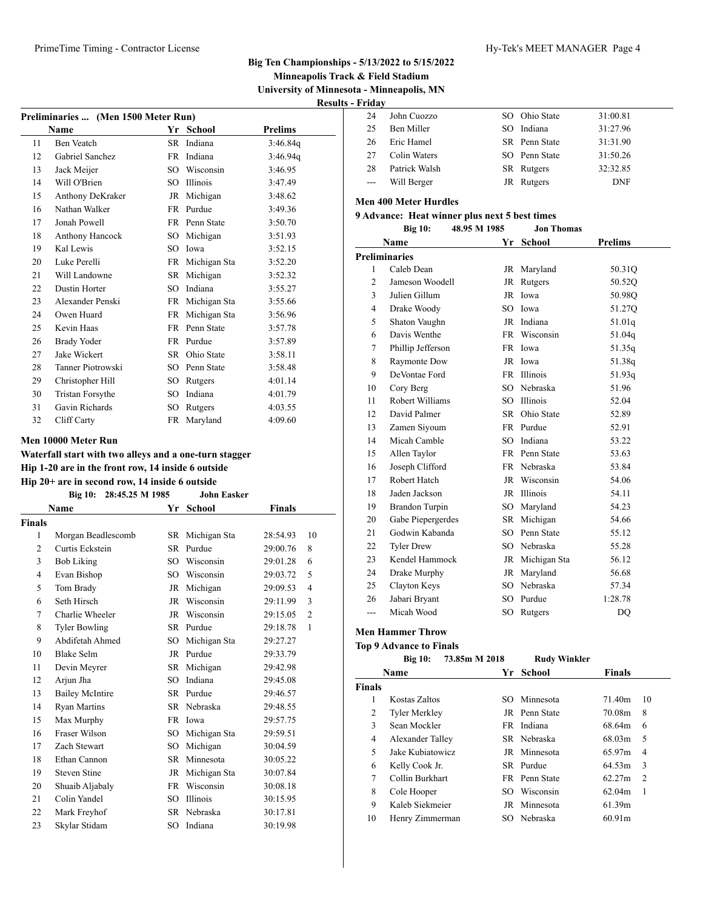**Minneapolis Track & Field Stadium University of Minnesota - Minneapolis, MN**

**Results - Friday**

 $\overline{\phantom{a}}$ 

| Preliminaries  (Men 1500 Meter Run) |                    |           |               |                |  |  |  |  |
|-------------------------------------|--------------------|-----------|---------------|----------------|--|--|--|--|
|                                     | Name               |           | Yr School     | <b>Prelims</b> |  |  |  |  |
| 11                                  | <b>Ben Veatch</b>  |           | SR Indiana    | 3:46.84q       |  |  |  |  |
| 12                                  | Gabriel Sanchez    | FR        | Indiana       | 3:46.94q       |  |  |  |  |
| 13                                  | Jack Meijer        |           | SO Wisconsin  | 3:46.95        |  |  |  |  |
| 14                                  | Will O'Brien       | SO.       | Illinois      | 3:47.49        |  |  |  |  |
| 15                                  | Anthony DeKraker   |           | JR Michigan   | 3:48.62        |  |  |  |  |
| 16                                  | Nathan Walker      |           | FR Purdue     | 3:49.36        |  |  |  |  |
| 17                                  | Jonah Powell       |           | FR Penn State | 3:50.70        |  |  |  |  |
| 18                                  | Anthony Hancock    | SO        | Michigan      | 3:51.93        |  |  |  |  |
| 19                                  | Kal Lewis          | SO.       | Iowa          | 3:52.15        |  |  |  |  |
| 20                                  | Luke Perelli       | FR        | Michigan Sta  | 3:52.20        |  |  |  |  |
| 21                                  | Will Landowne      | SR        | Michigan      | 3:52.32        |  |  |  |  |
| 22                                  | Dustin Horter      | SO.       | Indiana       | 3:55.27        |  |  |  |  |
| 23                                  | Alexander Penski   | FR        | Michigan Sta  | 3:55.66        |  |  |  |  |
| 24                                  | Owen Huard         | FR        | Michigan Sta  | 3:56.96        |  |  |  |  |
| 25                                  | Kevin Haas         |           | FR Penn State | 3:57.78        |  |  |  |  |
| 26                                  | <b>Brady Yoder</b> | <b>FR</b> | Purdue        | 3:57.89        |  |  |  |  |
| 27                                  | Jake Wickert       | SR        | Ohio State    | 3:58.11        |  |  |  |  |
| 28                                  | Tanner Piotrowski  | SO        | Penn State    | 3:58.48        |  |  |  |  |
| 29                                  | Christopher Hill   | SO        | Rutgers       | 4:01.14        |  |  |  |  |
| 30                                  | Tristan Forsythe   | SO.       | Indiana       | 4:01.79        |  |  |  |  |
| 31                                  | Gavin Richards     | SO        | Rutgers       | 4:03.55        |  |  |  |  |
| 32                                  | Cliff Carty        | FR        | Maryland      | 4:09.60        |  |  |  |  |

#### **Men 10000 Meter Run**

# **Waterfall start with two alleys and a one-turn stagger Hip 1-20 are in the front row, 14 inside 6 outside**

**Hip 20+ are in second row, 14 inside 6 outside**

|                | 28:45.25 M 1985<br><b>Big 10:</b> |     | <b>John Easker</b> |               |                |
|----------------|-----------------------------------|-----|--------------------|---------------|----------------|
|                | Name                              | Yr  | <b>School</b>      | <b>Finals</b> |                |
| Finals         |                                   |     |                    |               |                |
| 1              | Morgan Beadlescomb                |     | SR Michigan Sta    | 28:54.93      | 10             |
| $\overline{2}$ | Curtis Eckstein                   | SR. | Purdue             | 29:00.76      | 8              |
| 3              | <b>Bob Liking</b>                 | SO  | Wisconsin          | 29:01.28      | 6              |
| 4              | Evan Bishop                       | SO. | Wisconsin          | 29:03.72      | 5              |
| 5              | Tom Brady                         | JR  | Michigan           | 29:09.53      | 4              |
| 6              | Seth Hirsch                       | JR  | Wisconsin          | 29:11.99      | 3              |
| 7              | Charlie Wheeler                   | JR  | Wisconsin          | 29:15.05      | $\overline{2}$ |
| 8              | <b>Tyler Bowling</b>              |     | SR Purdue          | 29:18.78      | 1              |
| 9              | Abdifetah Ahmed                   | SO  | Michigan Sta       | 29:27.27      |                |
| 10             | Blake Selm                        | JR  | Purdue             | 29:33.79      |                |
| 11             | Devin Meyrer                      | SR  | Michigan           | 29:42.98      |                |
| 12             | Arjun Jha                         | SO. | Indiana            | 29:45.08      |                |
| 13             | <b>Bailey McIntire</b>            |     | SR Purdue          | 29:46.57      |                |
| 14             | <b>Ryan Martins</b>               |     | SR Nebraska        | 29:48.55      |                |
| 15             | Max Murphy                        | FR  | Iowa               | 29:57.75      |                |
| 16             | Fraser Wilson                     | SO  | Michigan Sta       | 29:59.51      |                |
| 17             | Zach Stewart                      | SO  | Michigan           | 30:04.59      |                |
| 18             | Ethan Cannon                      | SR. | Minnesota          | 30:05.22      |                |
| 19             | <b>Steven Stine</b>               | JR  | Michigan Sta       | 30:07.84      |                |
| 20             | Shuaib Aljabaly                   | FR  | Wisconsin          | 30:08.18      |                |
| 21             | Colin Yandel                      | SO. | Illinois           | 30:15.95      |                |
| 22             | Mark Freyhof                      |     | SR Nebraska        | 30:17.81      |                |
| 23             | Skylar Stidam                     | SO  | Indiana            | 30:19.98      |                |

| 24 | John Cuozzo   | SO Ohio State | 31:00.81   |
|----|---------------|---------------|------------|
| 25 | Ben Miller    | SO Indiana    | 31:27.96   |
| 26 | Eric Hamel    | SR Penn State | 31:31.90   |
| 27 | Colin Waters  | SO Penn State | 31:50.26   |
| 28 | Patrick Walsh | SR Rutgers    | 32:32.85   |
|    | Will Berger   | JR Rutgers    | <b>DNF</b> |
|    |               |               |            |

# **Men 400 Meter Hurdles**

# **9 Advance: Heat winner plus next 5 best times**

|                      | <b>Big 10:</b>        | 48.95 M 1985 | <b>Jon Thomas</b> |                |
|----------------------|-----------------------|--------------|-------------------|----------------|
|                      | Name                  | Yr           | <b>School</b>     | <b>Prelims</b> |
| <b>Preliminaries</b> |                       |              |                   |                |
| 1                    | Caleb Dean            | JR.          | Maryland          | 50.31Q         |
| $\overline{2}$       | Jameson Woodell       | <b>JR</b>    | Rutgers           | 50.52Q         |
| 3                    | Julien Gillum         | JR           | Iowa              | 50.98Q         |
| $\overline{4}$       | Drake Woody           | SO           | Iowa              | 51.27Q         |
| 5                    | Shaton Vaughn         |              | JR Indiana        | 51.01q         |
| 6                    | Davis Wenthe          | <b>FR</b>    | Wisconsin         | 51.04q         |
| 7                    | Phillip Jefferson     |              | FR Iowa           | 51.35q         |
| 8                    | Raymonte Dow          |              | JR Iowa           | 51.38q         |
| 9                    | DeVontae Ford         | <b>FR</b>    | <b>Illinois</b>   | 51.93q         |
| 10                   | Cory Berg             |              | SO Nebraska       | 51.96          |
| 11                   | Robert Williams       | SO.          | <b>Illinois</b>   | 52.04          |
| 12                   | David Palmer          | <b>SR</b>    | Ohio State        | 52.89          |
| 13                   | Zamen Siyoum          |              | FR Purdue         | 52.91          |
| 14                   | Micah Camble          | SO           | Indiana           | 53.22          |
| 15                   | Allen Taylor          |              | FR Penn State     | 53.63          |
| 16                   | Joseph Clifford       |              | FR Nebraska       | 53.84          |
| 17                   | Robert Hatch          |              | JR Wisconsin      | 54.06          |
| 18                   | Jaden Jackson         |              | JR Illinois       | 54.11          |
| 19                   | <b>Brandon Turpin</b> | SO           | Maryland          | 54.23          |
| 20                   | Gabe Piepergerdes     |              | SR Michigan       | 54.66          |
| 21                   | Godwin Kabanda        | SO.          | Penn State        | 55.12          |
| 22                   | <b>Tyler Drew</b>     |              | SO Nebraska       | 55.28          |
| 23                   | Kendel Hammock        | <b>JR</b>    | Michigan Sta      | 56.12          |
| 24                   | Drake Murphy          | <b>JR</b>    | Maryland          | 56.68          |
| 25                   | Clayton Keys          |              | SO Nebraska       | 57.34          |
| 26                   | Jabari Bryant         | SO           | Purdue            | 1:28.78        |
| ---                  | Micah Wood            | SO           | Rutgers           | DO             |

# **Men Hammer Throw**

#### **Top 9 Advance to Finals**

|               | 73.85m M 2018<br><b>Big 10:</b> | <b>Rudy Winkler</b> |                    |                |
|---------------|---------------------------------|---------------------|--------------------|----------------|
|               | Name                            | Yr School           | <b>Finals</b>      |                |
| <b>Finals</b> |                                 |                     |                    |                |
| 1             | Kostas Zaltos                   | SO Minnesota        | 71.40m             | 10             |
| 2             | Tyler Merkley                   | JR Penn State       | 70.08m             | 8              |
| 3             | Sean Mockler                    | FR Indiana          | 68.64m             | 6              |
| 4             | Alexander Talley                | SR Nebraska         | 68.03m             | 5              |
| 5             | Jake Kubiatowicz                | JR Minnesota        | 65.97m             | 4              |
| 6             | Kelly Cook Jr.                  | SR Purdue           | 64.53m             | 3              |
| 7             | Collin Burkhart                 | FR Penn State       | 62.27m             | $\overline{2}$ |
| 8             | Cole Hooper                     | SO Wisconsin        | 62.04m             | 1              |
| 9             | Kaleb Siekmeier                 | JR Minnesota        | 61.39m             |                |
| 10            | Henry Zimmerman                 | SO Nebraska         | 60.91 <sub>m</sub> |                |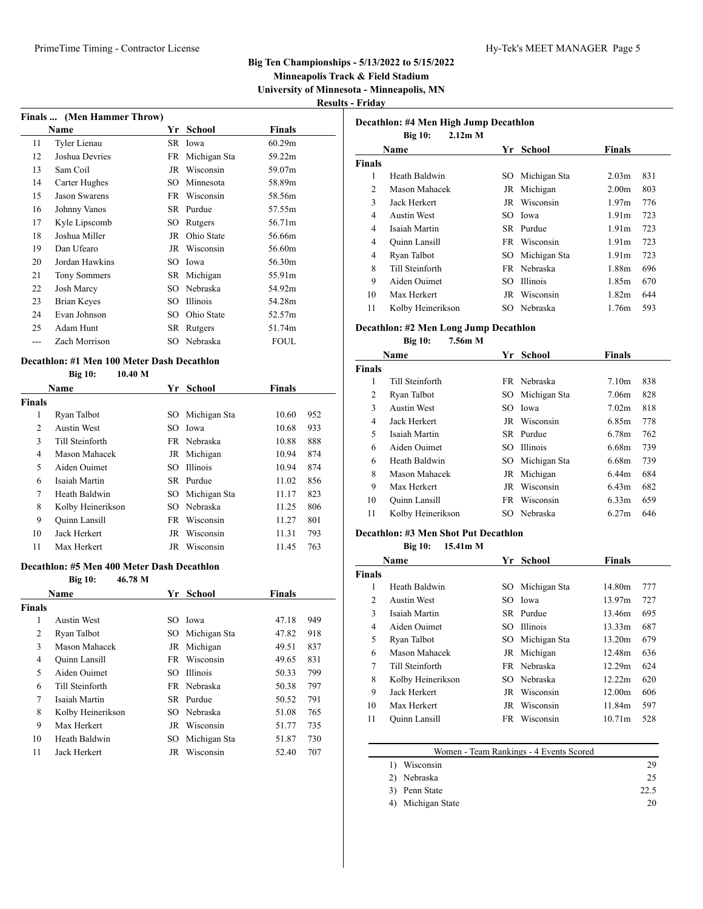**Minneapolis Track & Field Stadium University of Minnesota - Minneapolis, MN**

**Results - Friday**

|                | $2.12m$ M<br><b>Big 10:</b> |     |                 |                   |     |
|----------------|-----------------------------|-----|-----------------|-------------------|-----|
|                | Name                        | Yr. | School          | <b>Finals</b>     |     |
| <b>Finals</b>  |                             |     |                 |                   |     |
| 1              | Heath Baldwin               | SO. | Michigan Sta    | 2.03 <sub>m</sub> | 831 |
| $\overline{c}$ | Mason Mahacek               |     | JR Michigan     | 2.00 <sub>m</sub> | 803 |
| 3              | Jack Herkert                |     | JR Wisconsin    | 1.97m             | 776 |
| 4              | Austin West                 |     | SO Iowa         | 1.91 <sub>m</sub> | 723 |
| 4              | Isaiah Martin               |     | SR Purdue       | 1.91 <sub>m</sub> | 723 |
| 4              | Quinn Lansill               |     | FR Wisconsin    | 1.91 <sub>m</sub> | 723 |
| 4              | Ryan Talbot                 | SO  | Michigan Sta    | 1.91 <sub>m</sub> | 723 |
| 8              | Till Steinforth             | FR. | Nebraska        | 1.88m             | 696 |
| 9              | Aiden Ouimet                | SO. | <b>Illinois</b> | 1.85m             | 670 |
| 10             | Max Herkert                 | JR  | Wisconsin       | 1.82m             | 644 |
| 11             | Kolby Heinerikson           |     | SO Nebraska     | 1.76m             | 593 |

# **Decathlon: #2 Men Long Jump Decathlon**

**Big 10: 7.56m M**

| Name          |                   | Yr | <b>School</b>   | <b>Finals</b>     |     |
|---------------|-------------------|----|-----------------|-------------------|-----|
| <b>Finals</b> |                   |    |                 |                   |     |
|               | Till Steinforth   |    | FR Nebraska     | 7.10 <sub>m</sub> | 838 |
| 2             | Ryan Talbot       |    | SO Michigan Sta | 7.06m             | 828 |
| 3             | Austin West       |    | SO Iowa         | 7.02 <sub>m</sub> | 818 |
| 4             | Jack Herkert      |    | JR Wisconsin    | 6.85m             | 778 |
| 5             | Isaiah Martin     |    | SR Purdue       | 6.78m             | 762 |
| 6             | Aiden Ouimet      |    | SO Illinois     | 6.68m             | 739 |
| 6             | Heath Baldwin     |    | SO Michigan Sta | 6.68m             | 739 |
| 8             | Mason Mahacek     |    | JR Michigan     | 6.44m             | 684 |
| 9             | Max Herkert       | JR | Wisconsin       | 6.43m             | 682 |
| 10            | Quinn Lansill     | FR | Wisconsin       | 6.33m             | 659 |
| 11            | Kolby Heinerikson |    | SO Nebraska     | 6.27m             | 646 |

#### **Decathlon: #3 Men Shot Put Decathlon**

**Big 10: 15.41m M**

| Name           |                   | Yr  | School              | <b>Finals</b>      |     |
|----------------|-------------------|-----|---------------------|--------------------|-----|
| <b>Finals</b>  |                   |     |                     |                    |     |
| 1              | Heath Baldwin     |     | SO Michigan Sta     | 14.80m             | 777 |
| $\mathfrak{D}$ | Austin West       |     | SO Iowa             | 13.97m             | 727 |
| 3              | Isaiah Martin     |     | SR Purdue           | 13.46m             | 695 |
| 4              | Aiden Ouimet      | SO. | <b>Illinois</b>     | 13.33m             | 687 |
| 5              | Ryan Talbot       |     | SO Michigan Sta     | 13.20m             | 679 |
| 6              | Mason Mahacek     |     | JR Michigan         | 12.48m             | 636 |
| 7              | Till Steinforth   |     | FR Nebraska         | 12.29m             | 624 |
| 8              | Kolby Heinerikson |     | SO Nebraska         | 12.22m             | 620 |
| 9              | Jack Herkert      |     | <b>IR</b> Wisconsin | 12.00 <sub>m</sub> | 606 |
| 10             | Max Herkert       | JR  | Wisconsin           | 11.84m             | 597 |
| 11             | Ouinn Lansill     | FR  | Wisconsin           | 10.71 <sub>m</sub> | 528 |
|                |                   |     |                     |                    |     |

| Women - Team Rankings - 4 Events Scored |      |
|-----------------------------------------|------|
| 1) Wisconsin                            | 29   |
| 2) Nebraska                             | 25   |
| 3) Penn State                           | 22.5 |
|                                         |      |

4) Michigan State 20

|    | Finals  (Men Hammer Throw) |     |              |        |  |  |
|----|----------------------------|-----|--------------|--------|--|--|
|    | Name                       | Yr  | School       | Finals |  |  |
| 11 | Tyler Lienau               | SR  | Iowa         | 60.29m |  |  |
| 12 | Joshua Devries             | FR  | Michigan Sta | 59.22m |  |  |
| 13 | Sam Coil                   | JR  | Wisconsin    | 59.07m |  |  |
| 14 | Carter Hughes              | SO  | Minnesota    | 58.89m |  |  |
| 15 | <b>Jason Swarens</b>       | FR  | Wisconsin    | 58.56m |  |  |
| 16 | Johnny Vanos               | SR. | Purdue       | 57.55m |  |  |
| 17 | Kyle Lipscomb              | SΟ  | Rutgers      | 56.71m |  |  |
| 18 | Joshua Miller              | JR  | Ohio State   | 56.66m |  |  |
| 19 | Dan Ufearo                 | JR  | Wisconsin    | 56.60m |  |  |
| 20 | Jordan Hawkins             | SO  | Iowa         | 56.30m |  |  |
| 21 | <b>Tony Sommers</b>        | SR  | Michigan     | 55.91m |  |  |
| 22 | <b>Josh Marcy</b>          | SΟ  | Nebraska     | 54.92m |  |  |
| 23 | <b>Brian Keyes</b>         | SΟ  | Illinois     | 54.28m |  |  |
| 24 | Evan Johnson               | SO  | Ohio State   | 52.57m |  |  |
| 25 | Adam Hunt                  | SR. | Rutgers      | 51.74m |  |  |
|    | Zach Morrison              | SΟ  | Nebraska     | FOUL   |  |  |
|    |                            |     |              |        |  |  |

#### **Decathlon: #1 Men 100 Meter Dash Decathlon Big 10: 10.40 M**

| $P_{16}$ TV.<br>10.TV 111 |                   |     |                 |               |     |
|---------------------------|-------------------|-----|-----------------|---------------|-----|
| <b>Name</b>               |                   | Yr  | School          | <b>Finals</b> |     |
| <b>Finals</b>             |                   |     |                 |               |     |
| 1                         | Ryan Talbot       |     | SO Michigan Sta | 10.60         | 952 |
| 2                         | Austin West       |     | SO Iowa         | 10.68         | 933 |
| 3                         | Till Steinforth   |     | FR Nebraska     | 10.88         | 888 |
| 4                         | Mason Mahacek     | JR  | Michigan        | 10.94         | 874 |
| 5                         | Aiden Ouimet      | SO. | <b>Illinois</b> | 10.94         | 874 |
| 6                         | Isaiah Martin     |     | SR Purdue       | 11.02         | 856 |
| 7                         | Heath Baldwin     |     | SO Michigan Sta | 11.17         | 823 |
| 8                         | Kolby Heinerikson |     | SO Nebraska     | 11.25         | 806 |
| 9                         | Quinn Lansill     | FR. | Wisconsin       | 11.27         | 801 |
| 10                        | Jack Herkert      | JR  | Wisconsin       | 11.31         | 793 |
| 11                        | Max Herkert       | JR  | Wisconsin       | 11.45         | 763 |

#### **Decathlon: #5 Men 400 Meter Dash Decathlon**

**Big 10: 46.78 M**

| <b>Name</b>   |                    | Yr  | <b>School</b>   | <b>Finals</b> |     |
|---------------|--------------------|-----|-----------------|---------------|-----|
| <b>Finals</b> |                    |     |                 |               |     |
| 1             | <b>Austin West</b> |     | SO Iowa         | 47.18         | 949 |
| 2             | Ryan Talbot        |     | SO Michigan Sta | 47.82         | 918 |
| 3             | Mason Mahacek      |     | JR Michigan     | 49.51         | 837 |
| 4             | Quinn Lansill      |     | FR Wisconsin    | 49.65         | 831 |
| 5             | Aiden Ouimet       | SO. | Illinois        | 50.33         | 799 |
| 6             | Till Steinforth    |     | FR Nebraska     | 50.38         | 797 |
| 7             | Isaiah Martin      |     | SR Purdue       | 50.52         | 791 |
| 8             | Kolby Heinerikson  |     | SO Nebraska     | 51.08         | 765 |
| 9             | Max Herkert        | JR  | Wisconsin       | 51.77         | 735 |
| 10            | Heath Baldwin      | SO. | Michigan Sta    | 51.87         | 730 |
| 11            | Jack Herkert       | JR  | Wisconsin       | 52.40         | 707 |